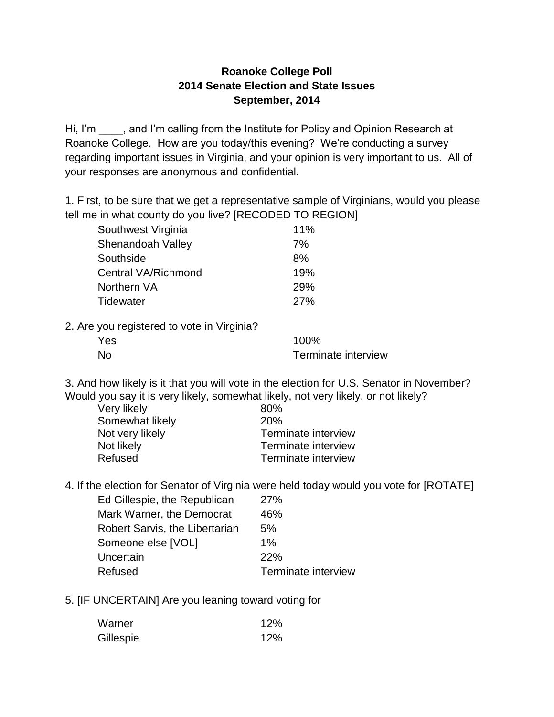## **Roanoke College Poll 2014 Senate Election and State Issues September, 2014**

Hi, I'm \_\_\_\_, and I'm calling from the Institute for Policy and Opinion Research at Roanoke College. How are you today/this evening? We're conducting a survey regarding important issues in Virginia, and your opinion is very important to us. All of your responses are anonymous and confidential.

1. First, to be sure that we get a representative sample of Virginians, would you please tell me in what county do you live? [RECODED TO REGION]

| Southwest Virginia  | 11%        |  |
|---------------------|------------|--|
| Shenandoah Valley   | 7%         |  |
| Southside           | 8%         |  |
| Central VA/Richmond | 19%        |  |
| Northern VA         | <b>29%</b> |  |
| Tidewater           | 27%        |  |
|                     |            |  |

2. Are you registered to vote in Virginia?

| Yes |  | 100%                |
|-----|--|---------------------|
| No  |  | Terminate interview |

3. And how likely is it that you will vote in the election for U.S. Senator in November? Would you say it is very likely, somewhat likely, not very likely, or not likely?

| Very likely     | 80%                 |
|-----------------|---------------------|
| Somewhat likely | <b>20%</b>          |
| Not very likely | Terminate interview |
| Not likely      | Terminate interview |
| Refused         | Terminate interview |
|                 |                     |

4. If the election for Senator of Virginia were held today would you vote for [ROTATE]

| Ed Gillespie, the Republican   | 27%                 |
|--------------------------------|---------------------|
| Mark Warner, the Democrat      | 46%                 |
| Robert Sarvis, the Libertarian | 5%                  |
| Someone else [VOL]             | $1\%$               |
| Uncertain                      | <b>22%</b>          |
| Refused                        | Terminate interview |

5. [IF UNCERTAIN] Are you leaning toward voting for

| Warner    | 12% |
|-----------|-----|
| Gillespie | 12% |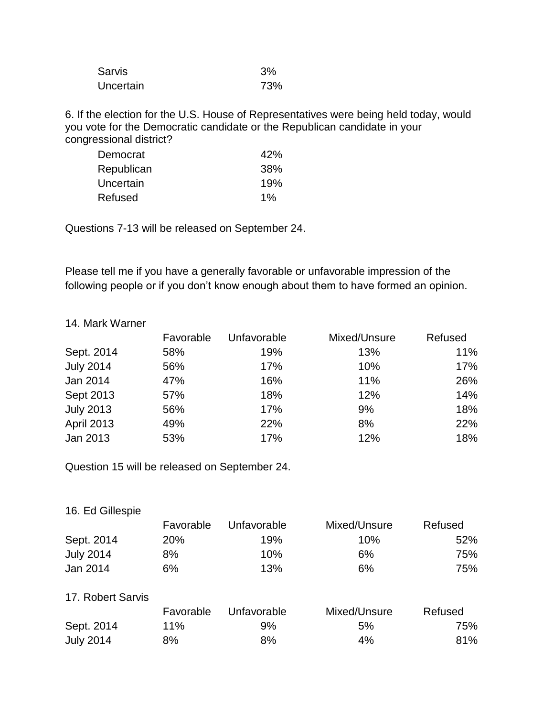| <b>Sarvis</b> | 3%  |
|---------------|-----|
| Uncertain     | 73% |

6. If the election for the U.S. House of Representatives were being held today, would you vote for the Democratic candidate or the Republican candidate in your congressional district?

| Democrat   | 42%   |
|------------|-------|
| Republican | 38%   |
| Uncertain  | 19%   |
| Refused    | $1\%$ |

Questions 7-13 will be released on September 24.

Please tell me if you have a generally favorable or unfavorable impression of the following people or if you don't know enough about them to have formed an opinion.

## 14. Mark Warner

|                   | Favorable | Unfavorable | Mixed/Unsure | Refused |
|-------------------|-----------|-------------|--------------|---------|
| Sept. 2014        | 58%       | 19%         | 13%          | 11%     |
| <b>July 2014</b>  | 56%       | 17%         | 10%          | 17%     |
| Jan 2014          | 47%       | 16%         | 11%          | 26%     |
| Sept 2013         | 57%       | 18%         | 12%          | 14%     |
| <b>July 2013</b>  | 56%       | 17%         | 9%           | 18%     |
| <b>April 2013</b> | 49%       | 22%         | 8%           | 22%     |
| Jan 2013          | 53%       | 17%         | 12%          | 18%     |

Question 15 will be released on September 24.

| Favorable  | Unfavorable | Mixed/Unsure | Refused |
|------------|-------------|--------------|---------|
| <b>20%</b> | 19%         | 10%          | 52%     |
| 8%         | 10%         | 6%           | 75%     |
| 6%         | 13%         | 6%           | 75%     |
|            |             |              |         |

## 17. Robert Sarvis

|                  | Favorable | Unfavorable | Mixed/Unsure | Refused |
|------------------|-----------|-------------|--------------|---------|
| Sept. 2014       | $11\%$    | 9%          | 5%           | 75%     |
| <b>July 2014</b> | 8%        | 8%          | 4%           | 81%     |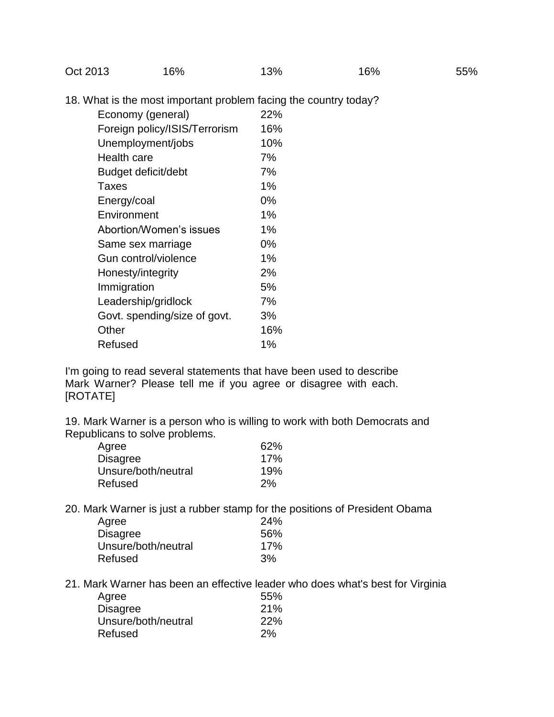Oct 2013 16% 13% 16% 16% 55%

18. What is the most important problem facing the country today?

| Economy (general)             | 22%   |
|-------------------------------|-------|
| Foreign policy/ISIS/Terrorism | 16%   |
| Unemployment/jobs             | 10%   |
| Health care                   | 7%    |
| Budget deficit/debt           | 7%    |
| Taxes                         | 1%    |
| Energy/coal                   | 0%    |
| Environment                   | 1%    |
| Abortion/Women's issues       | $1\%$ |
| Same sex marriage             | 0%    |
| Gun control/violence          | 1%    |
| Honesty/integrity             | 2%    |
| Immigration                   | 5%    |
| Leadership/gridlock           | 7%    |
| Govt. spending/size of govt.  | 3%    |
| Other                         | 16%   |
| Refused                       | $1\%$ |

I'm going to read several statements that have been used to describe Mark Warner? Please tell me if you agree or disagree with each. [ROTATE]

19. Mark Warner is a person who is willing to work with both Democrats and Republicans to solve problems.

| Agree               | 62% |
|---------------------|-----|
| <b>Disagree</b>     | 17% |
| Unsure/both/neutral | 19% |
| Refused             | 2%  |

20. Mark Warner is just a rubber stamp for the positions of President Obama

| Agree               | 24% |
|---------------------|-----|
| <b>Disagree</b>     | 56% |
| Unsure/both/neutral | 17% |
| Refused             | 3%  |

21. Mark Warner has been an effective leader who does what's best for Virginia

| Agree               | 55% |
|---------------------|-----|
| <b>Disagree</b>     | 21% |
| Unsure/both/neutral | 22% |
| Refused             | 2%  |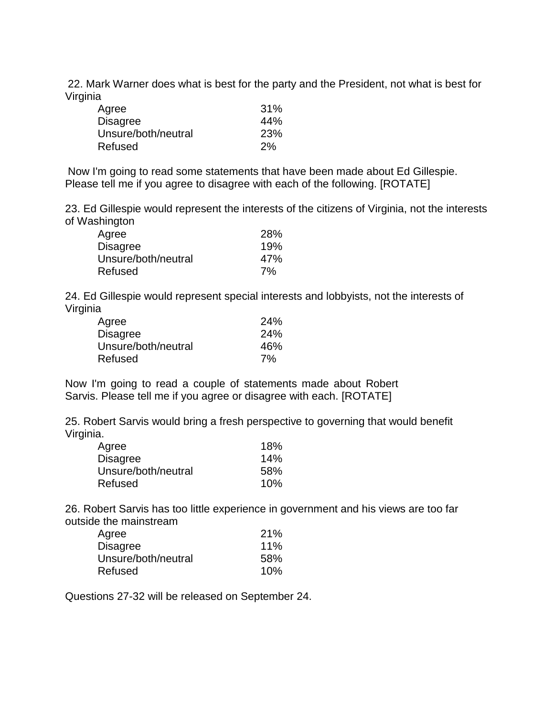22. Mark Warner does what is best for the party and the President, not what is best for Virginia

| Agree               | 31% |
|---------------------|-----|
| <b>Disagree</b>     | 44% |
| Unsure/both/neutral | 23% |
| Refused             | 2%  |

Now I'm going to read some statements that have been made about Ed Gillespie. Please tell me if you agree to disagree with each of the following. [ROTATE]

23. Ed Gillespie would represent the interests of the citizens of Virginia, not the interests of Washington

| Agree               | 28% |
|---------------------|-----|
| <b>Disagree</b>     | 19% |
| Unsure/both/neutral | 47% |
| Refused             | 7%  |

24. Ed Gillespie would represent special interests and lobbyists, not the interests of Virginia

| Agree               | 24% |
|---------------------|-----|
| <b>Disagree</b>     | 24% |
| Unsure/both/neutral | 46% |
| Refused             | 7%  |

Now I'm going to read a couple of statements made about Robert Sarvis. Please tell me if you agree or disagree with each. [ROTATE]

25. Robert Sarvis would bring a fresh perspective to governing that would benefit Virginia.

| Agree               | 18%    |
|---------------------|--------|
| <b>Disagree</b>     | 14%    |
| Unsure/both/neutral | 58%    |
| Refused             | $10\%$ |

26. Robert Sarvis has too little experience in government and his views are too far outside the mainstream

| Agree               | 21% |
|---------------------|-----|
| <b>Disagree</b>     | 11% |
| Unsure/both/neutral | 58% |
| Refused             | 10% |

Questions 27-32 will be released on September 24.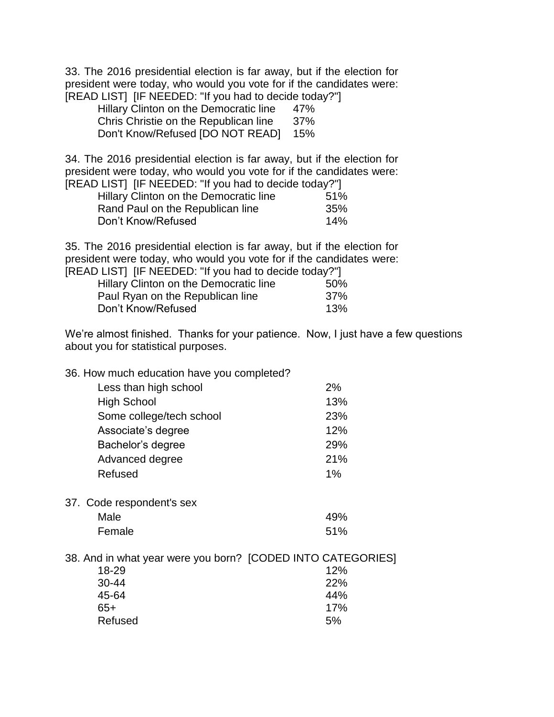33. The 2016 presidential election is far away, but if the election for president were today, who would you vote for if the candidates were: [READ LIST] [IF NEEDED: "If you had to decide today?"]

| Hillary Clinton on the Democratic line | 47% |
|----------------------------------------|-----|
| Chris Christie on the Republican line  | 37% |
| Don't Know/Refused [DO NOT READ]       | 15% |

34. The 2016 presidential election is far away, but if the election for president were today, who would you vote for if the candidates were: [READ LIST] [IF NEEDED: "If you had to decide today?"]

| Hillary Clinton on the Democratic line | 51% |
|----------------------------------------|-----|
| Rand Paul on the Republican line       | 35% |
| Don't Know/Refused                     | 14% |

35. The 2016 presidential election is far away, but if the election for president were today, who would you vote for if the candidates were: [READ LIST] [IF NEEDED: "If you had to decide today?"]

|                    | Hillary Clinton on the Democratic line | 50% |
|--------------------|----------------------------------------|-----|
|                    | Paul Ryan on the Republican line       | 37% |
| Don't Know/Refused |                                        | 13% |

We're almost finished. Thanks for your patience. Now, I just have a few questions about you for statistical purposes.

| 36. How much education have you completed? |  |  |  |  |  |  |
|--------------------------------------------|--|--|--|--|--|--|
|--------------------------------------------|--|--|--|--|--|--|

| Less than high school    | 2%  |
|--------------------------|-----|
| <b>High School</b>       | 13% |
| Some college/tech school | 23% |
| Associate's degree       | 12% |
| Bachelor's degree        | 29% |
| Advanced degree          | 21% |
| Refused                  | 1%  |

37. Code respondent's sex

| Male   | 49% |
|--------|-----|
| Female | 51% |

38. And in what year were you born? [CODED INTO CATEGORIES]

| 12% |
|-----|
| 22% |
| 44% |
| 17% |
| 5%  |
|     |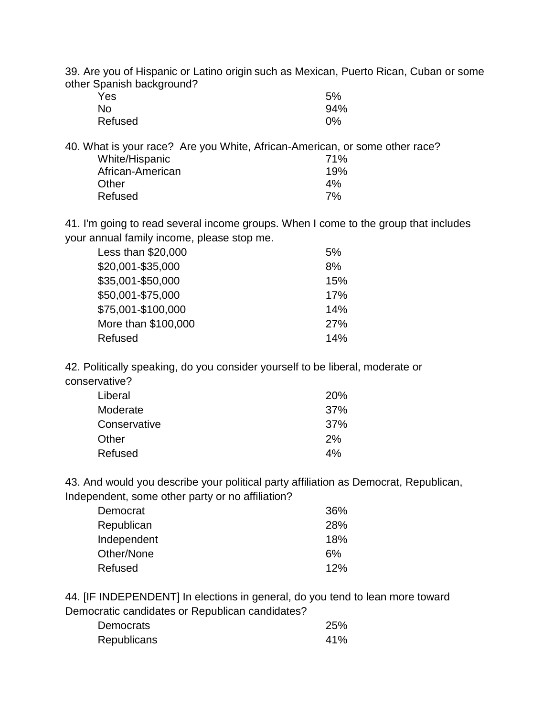39. Are you of Hispanic or Latino origin such as Mexican, Puerto Rican, Cuban or some other Spanish background?

| Yes     | 5%  |
|---------|-----|
| No      | 94% |
| Refused | 0%  |

40. What is your race? Are you White, African-American, or some other race? White/Hispanic 71% African-American 19% Other **4%** Refused 7%

41. I'm going to read several income groups. When I come to the group that includes your annual family income, please stop me.

| Less than \$20,000  | 5%  |
|---------------------|-----|
| \$20,001-\$35,000   | 8%  |
| \$35,001-\$50,000   | 15% |
| \$50,001-\$75,000   | 17% |
| \$75,001-\$100,000  | 14% |
| More than \$100,000 | 27% |
| Refused             | 14% |
|                     |     |

42. Politically speaking, do you consider yourself to be liberal, moderate or conservative?

| Liberal      | <b>20%</b> |
|--------------|------------|
| Moderate     | 37%        |
| Conservative | 37%        |
| Other        | 2%         |
| Refused      | 4%         |

43. And would you describe your political party affiliation as Democrat, Republican, Independent, some other party or no affiliation?

| Democrat    | 36%        |
|-------------|------------|
| Republican  | <b>28%</b> |
| Independent | 18%        |
| Other/None  | 6%         |
| Refused     | 12%        |

44. [IF INDEPENDENT] In elections in general, do you tend to lean more toward Democratic candidates or Republican candidates?

| Democrats          | 25% |
|--------------------|-----|
| <b>Republicans</b> | 41% |